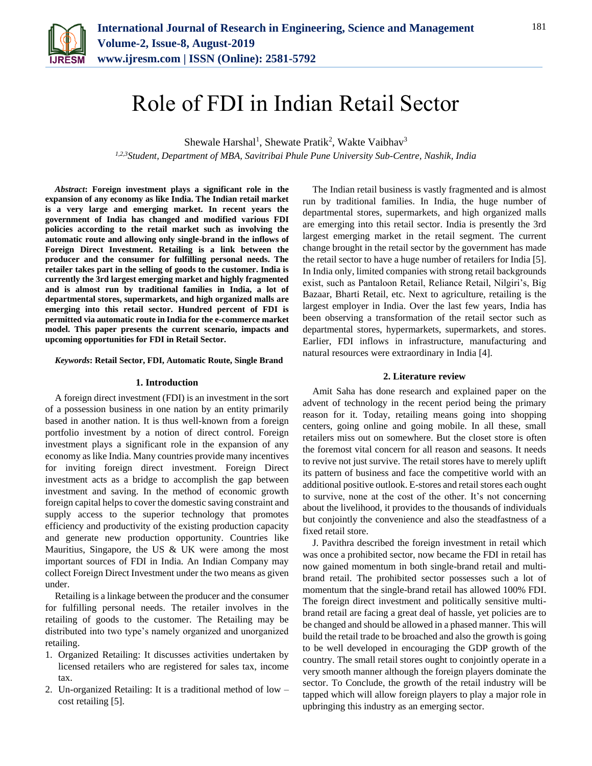

# Role of FDI in Indian Retail Sector

Shewale Harshal<sup>1</sup>, Shewate Pratik<sup>2</sup>, Wakte Vaibhav<sup>3</sup>

*1,2,3Student, Department of MBA, Savitribai Phule Pune University Sub-Centre, Nashik, India*

*Abstract***: Foreign investment plays a significant role in the expansion of any economy as like India. The Indian retail market is a very large and emerging market. In recent years the government of India has changed and modified various FDI policies according to the retail market such as involving the automatic route and allowing only single-brand in the inflows of Foreign Direct Investment. Retailing is a link between the producer and the consumer for fulfilling personal needs. The retailer takes part in the selling of goods to the customer. India is currently the 3rd largest emerging market and highly fragmented and is almost run by traditional families in India, a lot of departmental stores, supermarkets, and high organized malls are emerging into this retail sector. Hundred percent of FDI is permitted via automatic route in India for the e-commerce market model. This paper presents the current scenario, impacts and upcoming opportunities for FDI in Retail Sector.**

## *Keywords***: Retail Sector, FDI, Automatic Route, Single Brand**

#### **1. Introduction**

A foreign direct investment (FDI) is an investment in the sort of a possession business in one nation by an entity primarily based in another nation. It is thus well-known from a foreign portfolio investment by a notion of direct control. Foreign investment plays a significant role in the expansion of any economy as like India. Many countries provide many incentives for inviting foreign direct investment. Foreign Direct investment acts as a bridge to accomplish the gap between investment and saving. In the method of economic growth foreign capital helps to cover the domestic saving constraint and supply access to the superior technology that promotes efficiency and productivity of the existing production capacity and generate new production opportunity. Countries like Mauritius, Singapore, the US & UK were among the most important sources of FDI in India. An Indian Company may collect Foreign Direct Investment under the two means as given under.

Retailing is a linkage between the producer and the consumer for fulfilling personal needs. The retailer involves in the retailing of goods to the customer. The Retailing may be distributed into two type's namely organized and unorganized retailing.

- 1. Organized Retailing: It discusses activities undertaken by licensed retailers who are registered for sales tax, income tax.
- 2. Un-organized Retailing: It is a traditional method of low cost retailing [5].

The Indian retail business is vastly fragmented and is almost run by traditional families. In India, the huge number of departmental stores, supermarkets, and high organized malls are emerging into this retail sector. India is presently the 3rd largest emerging market in the retail segment. The current change brought in the retail sector by the government has made the retail sector to have a huge number of retailers for India [5]. In India only, limited companies with strong retail backgrounds exist, such as Pantaloon Retail, Reliance Retail, Nilgiri's, Big Bazaar, Bharti Retail, etc. Next to agriculture, retailing is the largest employer in India. Over the last few years, India has been observing a transformation of the retail sector such as departmental stores, hypermarkets, supermarkets, and stores. Earlier, FDI inflows in infrastructure, manufacturing and natural resources were extraordinary in India [4].

#### **2. Literature review**

Amit Saha has done research and explained paper on the advent of technology in the recent period being the primary reason for it. Today, retailing means going into shopping centers, going online and going mobile. In all these, small retailers miss out on somewhere. But the closet store is often the foremost vital concern for all reason and seasons. It needs to revive not just survive. The retail stores have to merely uplift its pattern of business and face the competitive world with an additional positive outlook. E-stores and retail stores each ought to survive, none at the cost of the other. It's not concerning about the livelihood, it provides to the thousands of individuals but conjointly the convenience and also the steadfastness of a fixed retail store.

J. Pavithra described the foreign investment in retail which was once a prohibited sector, now became the FDI in retail has now gained momentum in both single-brand retail and multibrand retail. The prohibited sector possesses such a lot of momentum that the single-brand retail has allowed 100% FDI. The foreign direct investment and politically sensitive multibrand retail are facing a great deal of hassle, yet policies are to be changed and should be allowed in a phased manner. This will build the retail trade to be broached and also the growth is going to be well developed in encouraging the GDP growth of the country. The small retail stores ought to conjointly operate in a very smooth manner although the foreign players dominate the sector. To Conclude, the growth of the retail industry will be tapped which will allow foreign players to play a major role in upbringing this industry as an emerging sector.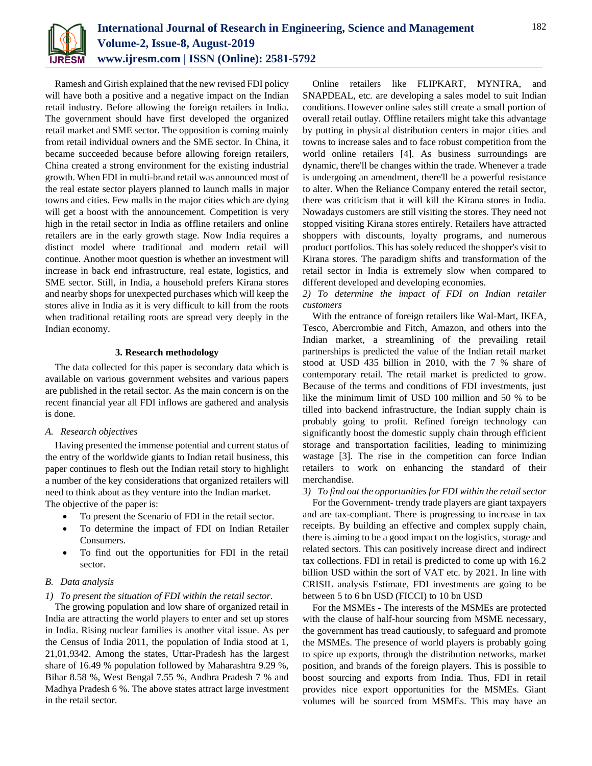

Ramesh and Girish explained that the new revised FDI policy will have both a positive and a negative impact on the Indian retail industry. Before allowing the foreign retailers in India. The government should have first developed the organized retail market and SME sector. The opposition is coming mainly from retail individual owners and the SME sector. In China, it became succeeded because before allowing foreign retailers, China created a strong environment for the existing industrial growth. When FDI in multi-brand retail was announced most of the real estate sector players planned to launch malls in major towns and cities. Few malls in the major cities which are dying will get a boost with the announcement. Competition is very high in the retail sector in India as offline retailers and online retailers are in the early growth stage. Now India requires a distinct model where traditional and modern retail will continue. Another moot question is whether an investment will increase in back end infrastructure, real estate, logistics, and SME sector. Still, in India, a household prefers Kirana stores and nearby shops for unexpected purchases which will keep the stores alive in India as it is very difficult to kill from the roots when traditional retailing roots are spread very deeply in the Indian economy.

# **3. Research methodology**

The data collected for this paper is secondary data which is available on various government websites and various papers are published in the retail sector. As the main concern is on the recent financial year all FDI inflows are gathered and analysis is done.

# *A. Research objectives*

Having presented the immense potential and current status of the entry of the worldwide giants to Indian retail business, this paper continues to flesh out the Indian retail story to highlight a number of the key considerations that organized retailers will need to think about as they venture into the Indian market. The objective of the paper is:

- To present the Scenario of FDI in the retail sector.
- To determine the impact of FDI on Indian Retailer Consumers.
- To find out the opportunities for FDI in the retail sector.

# *B. Data analysis*

# *1) To present the situation of FDI within the retail sector.*

The growing population and low share of organized retail in India are attracting the world players to enter and set up stores in India. Rising nuclear families is another vital issue. As per the Census of India 2011, the population of India stood at 1, 21,01,9342. Among the states, Uttar-Pradesh has the largest share of 16.49 % population followed by Maharashtra 9.29 %, Bihar 8.58 %, West Bengal 7.55 %, Andhra Pradesh 7 % and Madhya Pradesh 6 %. The above states attract large investment in the retail sector.

Online retailers like FLIPKART, MYNTRA, and SNAPDEAL, etc. are developing a sales model to suit Indian conditions. However online sales still create a small portion of overall retail outlay. Offline retailers might take this advantage by putting in physical distribution centers in major cities and towns to increase sales and to face robust competition from the world online retailers [4]. As business surroundings are dynamic, there'll be changes within the trade. Whenever a trade is undergoing an amendment, there'll be a powerful resistance to alter. When the Reliance Company entered the retail sector, there was criticism that it will kill the Kirana stores in India. Nowadays customers are still visiting the stores. They need not stopped visiting Kirana stores entirely. Retailers have attracted shoppers with discounts, loyalty programs, and numerous product portfolios. This has solely reduced the shopper's visit to Kirana stores. The paradigm shifts and transformation of the retail sector in India is extremely slow when compared to different developed and developing economies.

*2) To determine the impact of FDI on Indian retailer customers*

With the entrance of foreign retailers like Wal-Mart, IKEA, Tesco, Abercrombie and Fitch, Amazon, and others into the Indian market, a streamlining of the prevailing retail partnerships is predicted the value of the Indian retail market stood at USD 435 billion in 2010, with the 7 % share of contemporary retail. The retail market is predicted to grow. Because of the terms and conditions of FDI investments, just like the minimum limit of USD 100 million and 50 % to be tilled into backend infrastructure, the Indian supply chain is probably going to profit. Refined foreign technology can significantly boost the domestic supply chain through efficient storage and transportation facilities, leading to minimizing wastage [3]. The rise in the competition can force Indian retailers to work on enhancing the standard of their merchandise.

### *3) To find out the opportunities for FDI within the retail sector*

For the Government- trendy trade players are giant taxpayers and are tax-compliant. There is progressing to increase in tax receipts. By building an effective and complex supply chain, there is aiming to be a good impact on the logistics, storage and related sectors. This can positively increase direct and indirect tax collections. FDI in retail is predicted to come up with 16.2 billion USD within the sort of VAT etc. by 2021. In line with CRISIL analysis Estimate, FDI investments are going to be between 5 to 6 bn USD (FICCI) to 10 bn USD

For the MSMEs - The interests of the MSMEs are protected with the clause of half-hour sourcing from MSME necessary, the government has tread cautiously, to safeguard and promote the MSMEs. The presence of world players is probably going to spice up exports, through the distribution networks, market position, and brands of the foreign players. This is possible to boost sourcing and exports from India. Thus, FDI in retail provides nice export opportunities for the MSMEs. Giant volumes will be sourced from MSMEs. This may have an